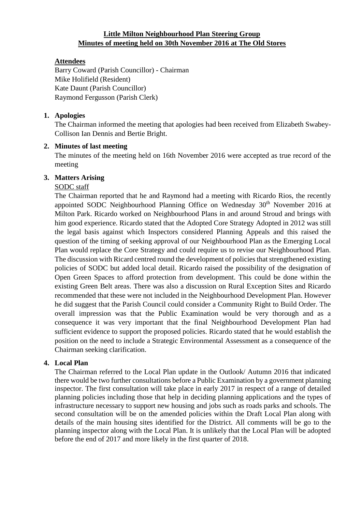# **Little Milton Neighbourhood Plan Steering Group Minutes of meeting held on 30th November 2016 at The Old Stores**

# **Attendees**

Barry Coward (Parish Councillor) - Chairman Mike Holifield (Resident) Kate Daunt (Parish Councillor) Raymond Fergusson (Parish Clerk)

## **1. Apologies**

The Chairman informed the meeting that apologies had been received from Elizabeth Swabey-Collison Ian Dennis and Bertie Bright.

## **2. Minutes of last meeting**

The minutes of the meeting held on 16th November 2016 were accepted as true record of the meeting

## **3. Matters Arising**

## SODC staff

The Chairman reported that he and Raymond had a meeting with Ricardo Rios, the recently appointed SODC Neighbourhood Planning Office on Wednesday 30<sup>th</sup> November 2016 at Milton Park. Ricardo worked on Neighbourhood Plans in and around Stroud and brings with him good experience. Ricardo stated that the Adopted Core Strategy Adopted in 2012 was still the legal basis against which Inspectors considered Planning Appeals and this raised the question of the timing of seeking approval of our Neighbourhood Plan as the Emerging Local Plan would replace the Core Strategy and could require us to revise our Neighbourhood Plan. The discussion with Ricard centred round the development of policies that strengthened existing policies of SODC but added local detail. Ricardo raised the possibility of the designation of Open Green Spaces to afford protection from development. This could be done within the existing Green Belt areas. There was also a discussion on Rural Exception Sites and Ricardo recommended that these were not included in the Neighbourhood Development Plan. However he did suggest that the Parish Council could consider a Community Right to Build Order. The overall impression was that the Public Examination would be very thorough and as a consequence it was very important that the final Neighbourhood Development Plan had sufficient evidence to support the proposed policies. Ricardo stated that he would establish the position on the need to include a Strategic Environmental Assessment as a consequence of the Chairman seeking clarification.

## **4. Local Plan**

The Chairman referred to the Local Plan update in the Outlook/ Autumn 2016 that indicated there would be two further consultations before a Public Examination by a government planning inspector. The first consultation will take place in early 2017 in respect of a range of detailed planning policies including those that help in deciding planning applications and the types of infrastructure necessary to support new housing and jobs such as roads parks and schools. The second consultation will be on the amended policies within the Draft Local Plan along with details of the main housing sites identified for the District. All comments will be go to the planning inspector along with the Local Plan. It is unlikely that the Local Plan will be adopted before the end of 2017 and more likely in the first quarter of 2018.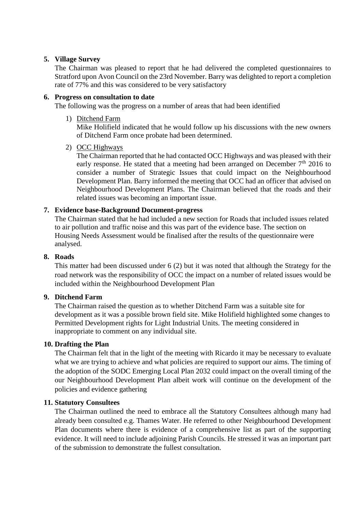#### **5. Village Survey**

The Chairman was pleased to report that he had delivered the completed questionnaires to Stratford upon Avon Council on the 23rd November. Barry was delighted to report a completion rate of 77% and this was considered to be very satisfactory

#### **6. Progress on consultation to date**

The following was the progress on a number of areas that had been identified

1) Ditchend Farm

Mike Holifield indicated that he would follow up his discussions with the new owners of Ditchend Farm once probate had been determined.

2) OCC Highways

The Chairman reported that he had contacted OCC Highways and was pleased with their early response. He stated that a meeting had been arranged on December  $7<sup>th</sup>$  2016 to consider a number of Strategic Issues that could impact on the Neighbourhood Development Plan. Barry informed the meeting that OCC had an officer that advised on Neighbourhood Development Plans. The Chairman believed that the roads and their related issues was becoming an important issue.

## **7. Evidence base-Background Document-progress**

The Chairman stated that he had included a new section for Roads that included issues related to air pollution and traffic noise and this was part of the evidence base. The section on Housing Needs Assessment would be finalised after the results of the questionnaire were analysed.

#### **8. Roads**

This matter had been discussed under 6 (2) but it was noted that although the Strategy for the road network was the responsibility of OCC the impact on a number of related issues would be included within the Neighbourhood Development Plan

## **9. Ditchend Farm**

The Chairman raised the question as to whether Ditchend Farm was a suitable site for development as it was a possible brown field site. Mike Holifield highlighted some changes to Permitted Development rights for Light Industrial Units. The meeting considered in inappropriate to comment on any individual site.

## **10. Drafting the Plan**

The Chairman felt that in the light of the meeting with Ricardo it may be necessary to evaluate what we are trying to achieve and what policies are required to support our aims. The timing of the adoption of the SODC Emerging Local Plan 2032 could impact on the overall timing of the our Neighbourhood Development Plan albeit work will continue on the development of the policies and evidence gathering

#### **11. Statutory Consultees**

The Chairman outlined the need to embrace all the Statutory Consultees although many had already been consulted e.g. Thames Water. He referred to other Neighbourhood Development Plan documents where there is evidence of a comprehensive list as part of the supporting evidence. It will need to include adjoining Parish Councils. He stressed it was an important part of the submission to demonstrate the fullest consultation.